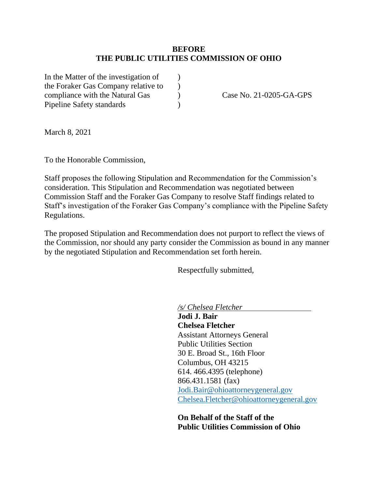#### **BEFORE THE PUBLIC UTILITIES COMMISSION OF OHIO**

In the Matter of the investigation of  $\qquad$  ) the Foraker Gas Company relative to  $\qquad$  ) compliance with the Natural Gas  $\qquad \qquad$  Case No. 21-0205-GA-GPS Pipeline Safety standards (a)

March 8, 2021

To the Honorable Commission,

Staff proposes the following Stipulation and Recommendation for the Commission's consideration. This Stipulation and Recommendation was negotiated between Commission Staff and the Foraker Gas Company to resolve Staff findings related to Staff's investigation of the Foraker Gas Company's compliance with the Pipeline Safety Regulations.

The proposed Stipulation and Recommendation does not purport to reflect the views of the Commission, nor should any party consider the Commission as bound in any manner by the negotiated Stipulation and Recommendation set forth herein.

Respectfully submitted,

*/s/ Chelsea Fletcher*

**Jodi J. Bair Chelsea Fletcher** Assistant Attorneys General Public Utilities Section 30 E. Broad St., 16th Floor Columbus, OH 43215 614. 466.4395 (telephone) 866.431.1581 (fax) [Jodi.Bair@ohioattorneygeneral.gov](mailto:Jodi.Bair@ohioattorneygeneral.gov) [Chelsea.Fletcher@ohioattorneygeneral.gov](mailto:Chelsea.Fletcher@ohioattorneygeneral.gov)

**On Behalf of the Staff of the Public Utilities Commission of Ohio**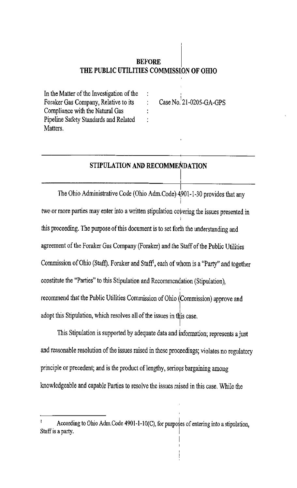## **BEFORE** THE PUBLIC UTILITIES COMMISSION OF OHIO

 $\ddot{\cdot}$ 

 $\ddot{\cdot}$ 

In the Matter of the Investigation of the Foraker Gas Company, Relative to its Compliance with the Natural Gas Pipeline Safety Standards and Related Matters.

Case No.  $21-0205-GA-GPS$ 

## STIPULATION AND RECOMMENDATION

The Ohio Administrative Code (Ohio Adm.Code) 4901-1-30 provides that any two or more parties may enter into a written stipulation covering the issues presented in this proceeding. The purpose of this document is to set forth the understanding and agreement of the Foraker Gas Company (Foraker) and the Staff of the Public Utilities Commission of Ohio (Staff). Foraker and Staff<sup>1</sup>, each of whom is a "Party" and together constitute the "Parties" to this Stipulation and Recommendation (Stipulation), recommend that the Public Utilities Commission of Ohio (Commission) approve and adopt this Stipulation, which resolves all of the issues in this case.

This Stipulation is supported by adequate data and information; represents a just and reasonable resolution of the issues raised in these proceedings; violates no regulatory principle or precedent; and is the product of lengthy, serious bargaining among knowledgeable and capable Parties to resolve the issues raised in this case. While the

According to Ohio Adm.Code 4901-1-10(C), for purposes of entering into a stipulation, Staff is a party.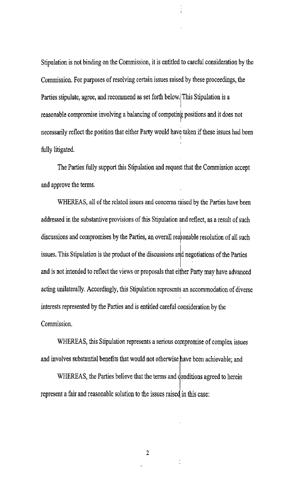Stipulation is not binding on the Commission, it is entitled to careful consideration by the Commission. For purposes of resolving certain issues raised by these proceedings, the Parties stipulate, agree, and recommend as set forth below. This Stipulation is a reasonable compromise involving a balancing of competing positions and it does not necessarily reflect the position that either Party would have taken if these issues had been fully litigated.

The Parties fully support this Stipulation and request that the Commission accept and approve the terms.

WHEREAS, all of the related issues and concerns raised by the Parties have been addressed in the substantive provisions of this Stipulation and reflect, as a result of such discussions and compromises by the Parties, an overall reasonable resolution of all such issues. This Stipulation is the product of the discussions and negotiations of the Parties and is not intended to reflect the views or proposals that either Party may have advanced acting unilaterally. Accordingly, this Stipulation represents an accommodation of diverse interests represented by the Parties and is entitled careful consideration by the Commission.

WHEREAS, this Stipulation represents a serious compromise of complex issues and involves substantial benefits that would not otherwise have been achievable; and

WHEREAS, the Parties believe that the terms and conditions agreed to herein represent a fair and reasonable solution to the issues raised in this case:

 $\overline{2}$ 

 $\frac{1}{\sqrt{2}}$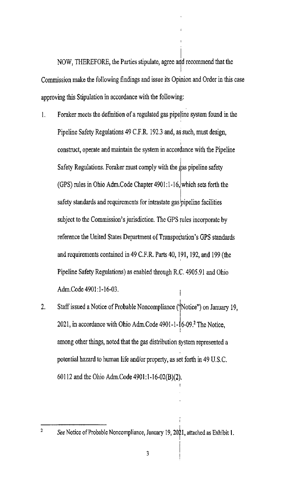NOW, THEREFORE, the Parties stipulate, agree and recommend that the Commission make the following findings and issue its Opinion and Order in this case approving this Stipulation in accordance with the following:

- Foraker meets the definition of a regulated gas pipeline system found in the  $\mathbf{I}$ . Pipeline Safety Regulations 49 C.F.R. 192.3 and, as such, must design, construct, operate and maintain the system in accordance with the Pipeline Safety Regulations. Foraker must comply with the gas pipeline safety (GPS) rules in Ohio Adm. Code Chapter  $4901:1-16$ , which sets forth the safety standards and requirements for intrastate gas pipeline facilities subject to the Commission's jurisdiction. The GPS rules incorporate by reference the United States Department of Transportation's GPS standards and requirements contained in 49 C.F.R. Parts 40, 191, 192, and 199 (the Pipeline Safety Regulations) as enabled through R.C. 4905.91 and Ohio Adm.Code 4901:1-16-03.
- Staff issued a Notice of Probable Noncompliance ('Notice") on January 19,  $2.$ 2021, in accordance with Ohio Adm.Code 4901-1-16-09.<sup>2</sup> The Notice, among other things, noted that the gas distribution system represented a potential hazard to human life and/or property, as set forth in 49 U.S.C. 60112 and the Ohio Adm.Code 4901:1-16-02(B)(2).

 $\overline{2}$ 

See Notice of Probable Noncompliance, January 19, 2021, attached as Exhibit 1.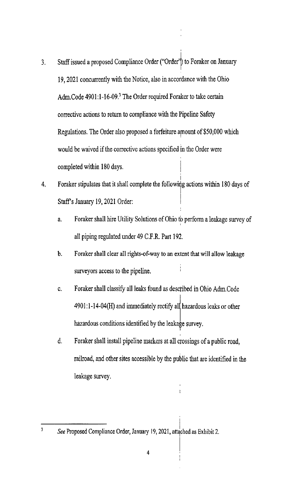- Staff issued a proposed Compliance Order ("Order") to Foraker on January  $3<sub>1</sub>$ 19, 2021 concurrently with the Notice, also in accordance with the Ohio Adm.Code 4901:1-16-09.<sup>3</sup> The Order required Foraker to take certain corrective actions to return to compliance with the Pipeline Safety Regulations. The Order also proposed a forfeiture amount of \$50,000 which would be waived if the corrective actions specified in the Order were completed within 180 days.
- Foraker stipulates that it shall complete the following actions within 180 days of  $\mathbf{4}$ . Staff's January 19, 2021 Order:
	- Foraker shall hire Utility Solutions of Ohio to perform a leakage survey of a. all piping regulated under 49 C.F.R. Part 192.
	- Foraker shall clear all rights-of-way to an extent that will allow leakage b. surveyors access to the pipeline.
	- Foraker shall classify all leaks found as described in Ohio Adm.Code C. 4901:1-14-04(H) and immediately rectify all hazardous leaks or other hazardous conditions identified by the leakage survey.
	- d. Foraker shall install pipeline markers at all crossings of a public road, railroad, and other sites accessible by the public that are identified in the leakage survey.

 $\overline{1}$ 

 $\overline{\mathbf{3}}$ 

See Proposed Compliance Order, January 19, 2021, attached as Exhibit 2.

 $\overline{\mathbf{4}}$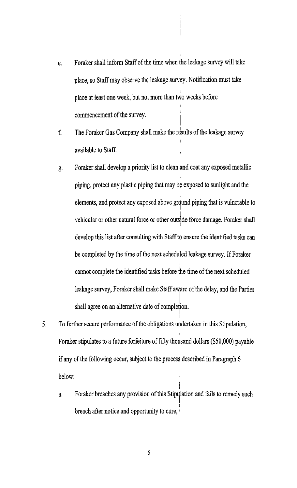- Foraker shall inform Staff of the time when the leakage survey will take e. place, so Staff may observe the leakage survey. Notification must take place at least one week, but not more than two weeks before commencement of the survey.
- The Foraker Gas Company shall make the results of the leakage survey  $f_{\cdot}$ available to Staff.
- Foraker shall develop a priority list to clean and coat any exposed metallic g. piping, protect any plastic piping that may be exposed to sunlight and the elements, and protect any exposed above ground piping that is vulnerable to vehicular or other natural force or other outside force damage. Foraker shall develop this list after consulting with Staff to ensure the identified tasks can be completed by the time of the next scheduled leakage survey. If Foraker cannot complete the identified tasks before the time of the next scheduled leakage survey, Foraker shall make Staff aware of the delay, and the Parties shall agree on an alternative date of completion.
- $5<sub>1</sub>$ To further secure performance of the obligations undertaken in this Stipulation, Foraker stipulates to a future forfeiture of fifty thousand dollars (\$50,000) payable if any of the following occur, subject to the process described in Paragraph 6 below:
	- Foraker breaches any provision of this Stipulation and fails to remedy such a. breach after notice and opportunity to cure,

5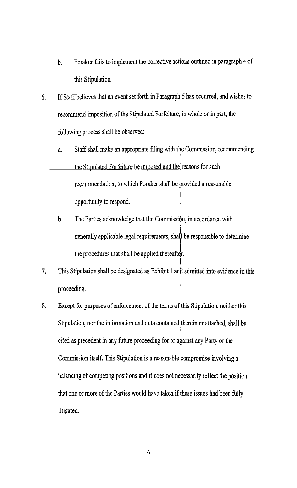- Foraker fails to implement the corrective actions outlined in paragraph 4 of b. this Stipulation.
- If Staff believes that an event set forth in Paragraph 5 has occurred, and wishes to 6. recommend imposition of the Stipulated Forfeiture, in whole or in part, the following process shall be observed:
	- Staff shall make an appropriate filing with the Commission, recommending a.
	- the Stipulated Forfeiture be imposed and the reasons for such recommendation, to which Foraker shall be provided a reasonable opportunity to respond.
		- b. The Parties acknowledge that the Commission, in accordance with generally applicable legal requirements, shall be responsible to determine the procedures that shall be applied thereafter.
- 7. This Stipulation shall be designated as Exhibit 1 and admitted into evidence in this proceeding.
- 8. Except for purposes of enforcement of the terms of this Stipulation, neither this Stipulation, nor the information and data contained therein or attached, shall be cited as precedent in any future proceeding for or against any Party or the Commission itself. This Stipulation is a reasonable compromise involving a balancing of competing positions and it does not necessarily reflect the position that one or more of the Parties would have taken if these issues had been fully litigated.

 $\boldsymbol{6}$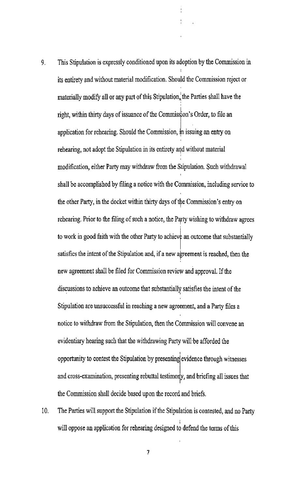- This Stipulation is expressly conditioned upon its adoption by the Commission in  $9<sub>1</sub>$ its entirety and without material modification. Should the Commission reject or materially modify all or any part of this Stipulation, the Parties shall have the right, within thirty days of issuance of the Commission's Order, to file an application for rehearing. Should the Commission, in issuing an entry on rehearing, not adopt the Stipulation in its entirety and without material modification, either Party may withdraw from the Stipulation. Such withdrawal shall be accomplished by filing a notice with the Commission, including service to the other Party, in the docket within thirty days of the Commission's entry on rehearing. Prior to the filing of such a notice, the Party wishing to withdraw agrees to work in good faith with the other Party to achieve an outcome that substantially satisfies the intent of the Stipulation and, if a new agreement is reached, then the new agreement shall be filed for Commission review and approval. If the discussions to achieve an outcome that substantially satisfies the intent of the Stipulation are unsuccessful in reaching a new agreement, and a Party files a notice to withdraw from the Stipulation, then the Commission will convene an evidentiary hearing such that the withdrawing Party will be afforded the opportunity to contest the Stipulation by presenting evidence through witnesses and cross-examination, presenting rebuttal testimony, and briefing all issues that the Commission shall decide based upon the record and briefs.
- $10.$ The Parties will support the Stipulation if the Stipulation is contested, and no Party will oppose an application for rehearing designed to defend the terms of this

 $\overline{7}$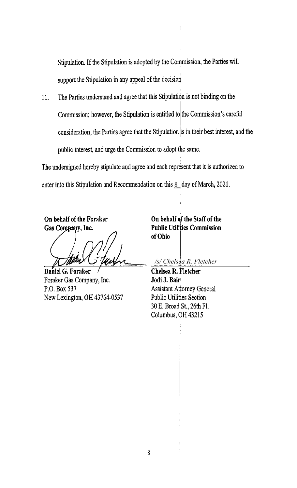Stipulation. If the Stipulation is adopted by the Commission, the Parties will support the Stipulation in any appeal of the decision.

ł

 $\overline{1}$ 

The Parties understand and agree that this Stipulation is not binding on the  $11.$ Commission; however, the Stipulation is entitled to the Commission's careful consideration, the Parties agree that the Stipulation is in their best interest, and the public interest, and urge the Commission to adopt the same.

The undersigned hereby stipulate and agree and each represent that it is authorized to enter into this Stipulation and Recommendation on this  $8$  day of March, 2021.

On behalf of the Foraker Gas Company, Inc.

Daniel G. Foraker Foraker Gas Company, Inc. P.O. Box 537 New Lexington, OH 43764-0537

On behalf of the Staff of the **Public Utilities Commission** of Ohio

/s/ Chelsea R. Fletcher

Chelsea R. Fletcher Jodi J. Bair **Assistant Attorney General Public Utilities Section** 30 E. Broad St., 26th Fl. Columbus, OH 43215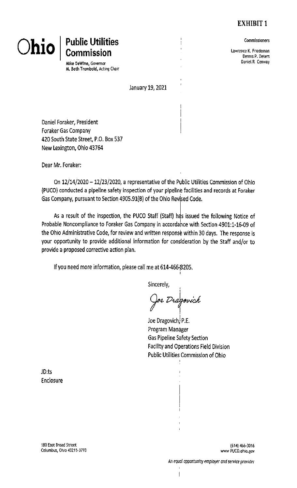# **EXHIBIT 1**

# **Public Utilities**<br>Commission **Ohio**

Mike DeWine, Governor M. Beth Trombold, Acting Chair Commissioners

Lawrence K. Friedeman Dennis P. Deters Daniel R. Conway

January 19, 2021

t

Daniel Foraker, President **Foraker Gas Company** 420 South State Street, P.O. Box 537 New Lexington, Ohio 43764

Dear Mr. Foraker:

On 12/14/2020 - 12/23/2020, a representative of the Public Utilities Commission of Ohio (PUCO) conducted a pipeline safety inspection of your pipeline facilities and records at Foraker Gas Company, pursuant to Section 4905.91(B) of the Ohio Revised Code.

As a result of the inspection, the PUCO Staff (Staff) has issued the following Notice of Probable Noncompliance to Foraker Gas Company in accordance with Section 4901:1-16-09 of the Ohio Administrative Code, for review and written response within 30 days. The response is your opportunity to provide additional information for consideration by the Staff and/or to provide a proposed corrective action plan.

If you need more information, please call me at 614-466-8205.

Sincerely,

oe Dragovich

Joe Dragovich, P.E. Program Manager **Gas Pipeline Safety Section Facility and Operations Field Division Public Utilities Commission of Ohio** 

JD:ts Enclosure

180 East Broad Street Columbus, Ohio 43215-3793

(614) 466-3016 www PUCO.ohio.gov

 $\overline{\phantom{a}}$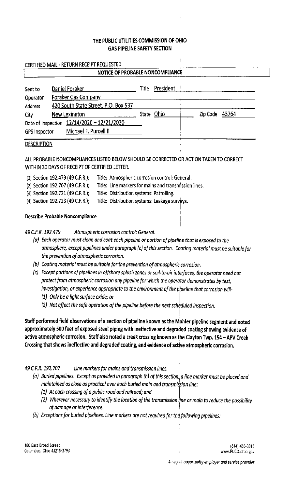#### THE PUBLIC UTILITIES COMMISSION OF OHIO **GAS PIPELINE SAFETY SECTION**

|                      | NOTICE OF PROBABLE NONCOMPLIANCE           |       |            |                |  |
|----------------------|--------------------------------------------|-------|------------|----------------|--|
| Sent to              | Daniel Foraker                             | Title | President  |                |  |
| Operator             | <b>Foraker Gas Company</b>                 |       |            |                |  |
| <b>Address</b>       | 420 South State Street, P.O. Box 537       |       |            |                |  |
| City                 | New Lexington                              |       | State Ohio | Zip Code 43764 |  |
|                      | Date of Inspection 12/14/2020 - 12/21/2020 |       |            |                |  |
| <b>GPS Inspector</b> | Michael F. Purcell II                      |       |            |                |  |

#### **DESCRIPTION**

#### ALL PROBABLE NONCOMPLIANCES LISTED BELOW SHOULD BE CORRECTED OR ACTION TAKEN TO CORRECT WITHIN 30 DAYS OF RECEIPT OF CERTIFIED LETTER.

| (1) Section 192.479 (49 C.F.R.); | Title: Atmospheric corrosion control: General.        |
|----------------------------------|-------------------------------------------------------|
| (2) Section 192.707 (49 C.F.R.); | Title: Line markers for mains and transmission lines. |
| (3) Section 192.721 (49 C.F.R.); | Title: Distribution systems: Patrolling.              |
| (4) Section 192.723 (49 C.F.R.); | Title: Distribution systems: Leakage surveys.         |
|                                  |                                                       |

#### Describe Probable Noncompliance

49 C.F.R. 192.479 Atmospheric corrosion control: General.

(a) Each operator must clean and coat each pipeline or portion of pipeline that is exposed to the atmosphere, except pipelines under paragraph (c) of this section. Coating material must be suitable for the prevention of atmospheric corrosion.

 $\mathbf{I}$ 

- (b) Coating material must be suitable for the prevention of atmospheric corrosion.
- (c) Except portions of pipelines in offshore splash zones or soil-to-air interfaces, the operator need not protect from atmospheric corrosion any pipeline for which the operator demonstrates by test, investigation, or experience appropriate to the environment of the pipeline that corrosion will-
	- (1) Only be a light surface oxide; or
	- (2) Not affect the safe operation of the pipeline before the next scheduled inspection.

Staff performed field observations of a section of pipeline known as the Mohler pipeline segment and noted approximately 500 feet of exposed steel piping with ineffective and degraded coating showing evidence of active atmospheric corrosion. Staff also noted a creek crossing known as the Clayton Twp. 154 - APV Creek Crossing that shows ineffective and degraded coating, and evidence of active atmospheric corrosion.

49 C.F.R. 192.707 Line markers for mains and transmission lines.

- (a) Buried pipelines. Except as provided in paragraph (b) of this section, a line marker must be placed and maintained as close as practical over each buried main and transmission line:
	- (1) At each crossing of a public road and railroad; and
	- (2) Wherever necessary to identify the location of the transmission line or main to reduce the possibility of damage or interference.
- (b) Exceptions for buried pipelines. Line markers are not required for the following pipelines:

180 East Broad Street Columbus, Ohio 43215-3793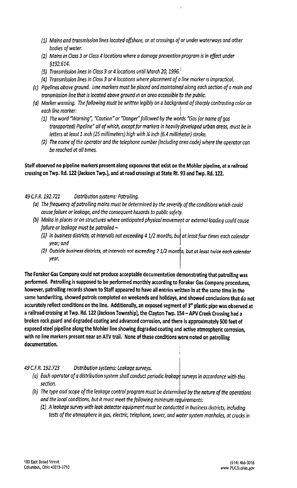- (1) Mains and transmission lines located offshore, or at crossings of or under waterways and other bodies of water.
- (2) Mains in Class 3 or Class 4 locations where a damage prevention program is in effect under \$192.614.
- (3) Transmission lines in Class 3 or 4 locations until March 20, 1996.
- (4) Transmission lines in Class 3 or 4 locations where placement of a line marker is impractical.
- (c) Pipelines above ground. Line markers must be placed and maintained along each section of a main and transmission line that is located above ground in an area accessible to the public.
- (d) Marker warning. The following must be written legibly on a background of sharply contrasting color on each line marker:
	- (1) The word "Warning", "Caution" or "Danger" followed by the words "Gas (or name of gas transported) Pipeline" all of which, except for markers in heavily developed urban areas, must be in letters at least 1 inch (25 millimeters) high with X inch (6.4 millimeter) stroke.
	- (2) The name of the operator and the telephone number (including area code) where the operator can be reached at all times.

#### Staff observed no pipeline markers present along exposures that exist on the Mohler pipeline, at a railroad crossing on Twp. Rd. 122 (Jackson Twp.), and at road crossings at State Rt. 93 and Twp. Rd. 122.

49 C.F.R. 192.721 Distribution systems: Patrolling.

- (a) The frequency of patrolling mains must be determined by the severity of the conditions which could cause failure or leakage, and the consequent hazards to public safety.
- (b) Mains in places or on structures where anticipated physical movement or external loading could cause failure or leakage must be patrolled -
	- (1) In business districts, at intervals not exceeding 4  $1/2$  months, but at least four times each calendar year; and
	- (2) Outside business districts, at intervals not exceeding 7 1/2 months, but at least twice each calendar year.

The Foraker Gas Company could not produce acceptable documentation demonstrating that patrolling was performed. Patrolling is supposed to be performed monthly according to Foraker Gas Company procedures, however, patrolling records shown to Staff appeared to have all entries written in at the same time in the same handwriting, showed patrols completed on weekends and holidays, and showed conclusions that do not accurately reflect conditions on the line. Additionally, an exposed segment of 3" plastic pipe was observed at a railroad crossing at Twp. Rd. 122 (Jackson Township), the Clayton Twp. 154 - APV Creek Crossing had a broken rock guard and degraded coating and advanced corrosion, and there is approximately 500 feet of exposed steel pipeline along the Mohler line showing degraded coating and active atmospheric corrosion, with no line markers present near an ATV trail. None of these conditions were noted on patrolling documentation.

49 C.F.R. 192.723 Distribution systems: Leakage surveys.

- (a) Each operator of a distribution system shall conduct periodic leakage surveys in accordance with this section.
- (b) The type and scope of the leakage control program must be determined by the nature of the operations and the local conditions, but it must meet the following minimum requirements:
	- (1) A leakage survey with leak detector equipment must be conducted in business districts, including tests of the atmosphere in gas, electric, telephone, sewer, and water system manholes, at cracks in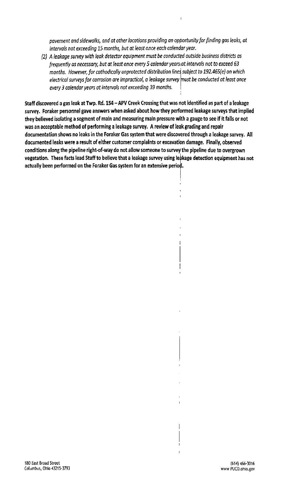payement and sidewalks, and at other locations providing an opportunity for finding gas leaks, at intervals not exceeding 15 months, but at least once each calendar year.

Ï

 $\overline{1}$ 

1

(2) A leakage survey with leak detector equipment must be conducted outside business districts as frequently as necessary, but at least once every 5 calendar years at intervals not to exceed 63 months. However, for cathodically unprotected distribution lines subject to 192.465(e) on which electrical surveys for corrosion are impractical, a leakage survey must be conducted at least once every 3 calendar years at intervals not exceeding 39 months.

Staff discovered a gas leak at Twp. Rd. 154 - APV Creek Crossing that was not identified as part of a leakage survey. Foraker personnel gave answers when asked about how they performed leakage surveys that implied they believed isolating a segment of main and measuring main pressure with a gauge to see if it falls or not was an acceptable method of performing a leakage survey. A review of leak grading and repair documentation shows no leaks in the Foraker Gas system that were discovered through a leakage survey. All documented leaks were a result of either customer complaints or excavation damage. Finally, observed conditions along the pipeline right-of-way do not allow someone to survey the pipeline due to overgrown vegetation. These facts lead Staff to believe that a leakage survey using leakage detection equipment has not actually been performed on the Foraker Gas system for an extensive period.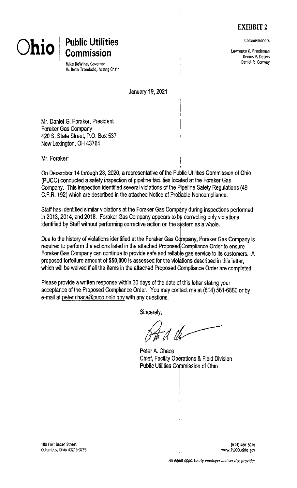# **EXHIBIT 2**

Commissioners

Lawrence K. Friedeman Dennis P. Deters Daniel R. Conway

# $O$ hio

**Public Utilities Commission** 

Mike DeWine, Governor M. Beth Trombold, Acting Chair

January 19, 2021

I

Mr. Daniel G. Foraker, President **Foraker Gas Company** 420 S. State Street, P.O. Box 537 New Lexington, OH 43764

Mr. Foraker:

On December 14 through 23, 2020, a representative of the Public Utilities Commission of Ohio (PUCO) conducted a safety inspection of pipeline facilities located at the Foraker Gas Company. This inspection identified several violations of the Pipeline Safety Regulations (49 C.F.R. 192) which are described in the attached Notice of Probable Noncompliance.

Staff has identified similar violations at the Foraker Gas Company during inspections performed in 2013, 2014, and 2018. Foraker Gas Company appears to be correcting only violations identified by Staff without performing corrective action on the system as a whole.

Due to the history of violations identified at the Foraker Gas Company, Foraker Gas Company is required to perform the actions listed in the attached Proposed Compliance Order to ensure Foraker Gas Company can continue to provide safe and reliable gas service to its customers. A proposed forfeiture amount of \$50,000 is assessed for the violations described in this letter. which will be waived if all the items in the attached Proposed Compliance Order are completed.

Please provide a written response within 30 days of the date of this letter stating your acceptance of the Proposed Compliance Order. You may contact me at (614) 561-6880 or by e-mail at peter.chace@puco.ohio.gov with any questions.

Sincerely.

Peter A. Chace Chief, Facility Operations & Field Division Public Utilities Commission of Ohio

180 East Broad Street Columbus, Ohio 43215-3793

(614) 466-3016 www.PUCO.ohio gov

An equal opportunity employer and service provider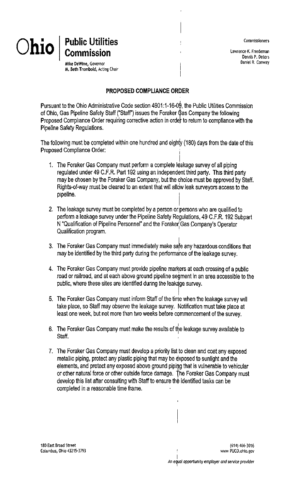Commissioners

Lawrence K. Friedeman Dennis P. Deters Daniel R. Conway



Mike DeWine, Governor M. Beth Trombold, Acting Chair

#### PROPOSED COMPLIANCE ORDER

Pursuant to the Ohio Administrative Code section 4901:1-16-09, the Public Utilities Commission of Ohio, Gas Pipeline Safety Staff ("Staff") issues the Foraker Gas Company the following Proposed Compliance Order requiring corrective action in order to return to compliance with the Pipeline Safety Regulations.

The following must be completed within one hundred and eighty (180) days from the date of this Proposed Compliance Order:

- 1. The Foraker Gas Company must perform a complete leakage survey of all piping regulated under 49 C.F.R. Part 192 using an independent third party. This third party may be chosen by the Foraker Gas Company, but the choice must be approved by Staff. Rights-of-way must be cleared to an extent that will allow leak surveyors access to the pipeline.
- 2. The leakage survey must be completed by a person or persons who are qualified to perform a leakage survey under the Pipeline Safety Regulations, 49 C.F.R. 192 Subpart N "Qualification of Pipeline Personnel" and the Foraker Gas Company's Operator Qualification program.
- 3. The Foraker Gas Company must immediately make safe any hazardous conditions that may be identified by the third party during the performance of the leakage survey.
- 4. The Foraker Gas Company must provide pipeline markers at each crossing of a public road or railroad, and at each above ground pipeline segment in an area accessible to the public, where these sites are identified during the leakage survey.
- 5. The Foraker Gas Company must inform Staff of the time when the leakage survey will take place, so Staff may observe the leakage survey. Notification must take place at least one week, but not more than two weeks before commencement of the survey.
- 6. The Foraker Gas Company must make the results of the leakage survey available to Staff.
- 7. The Foraker Gas Company must develop a priority list to clean and coat any exposed metallic piping, protect any plastic piping that may be exposed to sunlight and the elements, and protect any exposed above ground piping that is vulnerable to vehicular or other natural force or other outside force damage. The Foraker Gas Company must develop this list after consulting with Staff to ensure the identified tasks can be completed in a reasonable time frame.

180 East Broad Street Columbus, Ohio 43215-3793